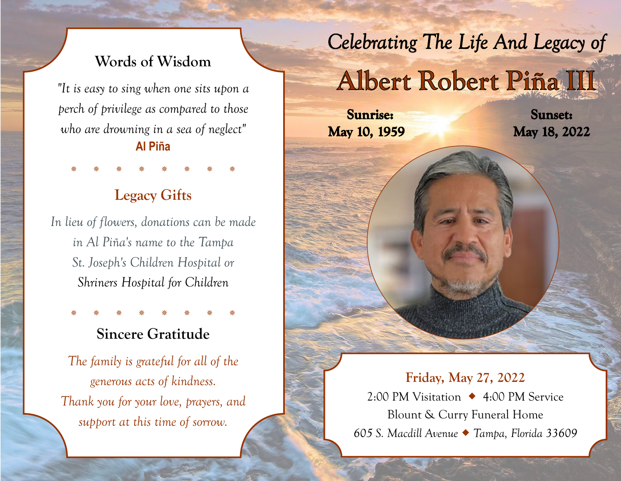## **Words of Wisdom**

*"It is easy to sing when one sits upon a perch of privilege as compared to those who are drowning in a sea of neglect"*  **Al Piña**

## **Legacy Gifts**

\* \* \* \* \* \* \* \*

*In lieu of flowers, donations can be made in Al Piña's name to the Tampa St. Joseph's Children Hospital or Shriners Hospital for Children*

## **Sincere Gratitude**

\* \* \* \* \* \* \* \*

*The family is grateful for all of the generous acts of kindness. Thank you for your love, prayers, and support at this time of sorrow.*

Celebrating The Life And Legacy of

# Albert Robert Piña III

**Sunrise:** May 10, 1959

**Sunset:** May 18, 2022

**Friday, May 27, 2022** 2:00 PM Visitation 4:00 PM Service Blount & Curry Funeral Home *605 S. Macdill Avenue Tampa, Florida 33609*